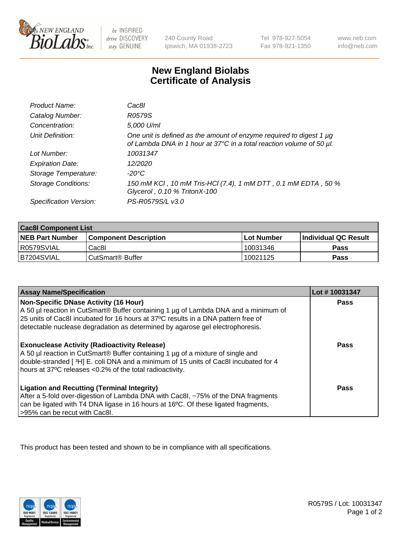

 $be$  INSPIRED drive DISCOVERY stay GENUINE

240 County Road Ipswich, MA 01938-2723 Tel 978-927-5054 Fax 978-921-1350 www.neb.com info@neb.com

## **New England Biolabs Certificate of Analysis**

| Product Name:           | Cac8l                                                                                                                                       |
|-------------------------|---------------------------------------------------------------------------------------------------------------------------------------------|
| Catalog Number:         | R0579S                                                                                                                                      |
| Concentration:          | 5,000 U/ml                                                                                                                                  |
| Unit Definition:        | One unit is defined as the amount of enzyme required to digest 1 µg<br>of Lambda DNA in 1 hour at 37°C in a total reaction volume of 50 µl. |
| Lot Number:             | 10031347                                                                                                                                    |
| <b>Expiration Date:</b> | 12/2020                                                                                                                                     |
| Storage Temperature:    | -20°C                                                                                                                                       |
| Storage Conditions:     | 150 mM KCI, 10 mM Tris-HCI (7.4), 1 mM DTT, 0.1 mM EDTA, 50 %<br>Glycerol, 0.10 % TritonX-100                                               |
| Specification Version:  | PS-R0579S/L v3.0                                                                                                                            |

| <b>Cac8I Component List</b> |                              |              |                             |  |
|-----------------------------|------------------------------|--------------|-----------------------------|--|
| <b>NEB Part Number</b>      | <b>Component Description</b> | l Lot Number | <b>Individual QC Result</b> |  |
| R0579SVIAL                  | Cac8I                        | 10031346     | <b>Pass</b>                 |  |
| B7204SVIAL                  | CutSmart <sup>®</sup> Buffer | 10021125     | Pass                        |  |

| <b>Assay Name/Specification</b>                                                                                                                                                                                                                                                                    | Lot #10031347 |
|----------------------------------------------------------------------------------------------------------------------------------------------------------------------------------------------------------------------------------------------------------------------------------------------------|---------------|
| Non-Specific DNase Activity (16 Hour)<br>A 50 µl reaction in CutSmart® Buffer containing 1 µg of Lambda DNA and a minimum of<br>25 units of Cac8I incubated for 16 hours at 37°C results in a DNA pattern free of<br>detectable nuclease degradation as determined by agarose gel electrophoresis. | Pass          |
| <b>Exonuclease Activity (Radioactivity Release)</b><br>A 50 µl reaction in CutSmart® Buffer containing 1 µg of a mixture of single and<br>double-stranded [3H] E. coli DNA and a minimum of 15 units of Cac8I incubated for 4<br>hours at 37°C releases <0.2% of the total radioactivity.          | Pass          |
| <b>Ligation and Recutting (Terminal Integrity)</b><br>After a 5-fold over-digestion of Lambda DNA with Cac8I, ~75% of the DNA fragments<br>can be ligated with T4 DNA ligase in 16 hours at 16°C. Of these ligated fragments,<br>>95% can be recut with Cac8I.                                     | Pass          |

This product has been tested and shown to be in compliance with all specifications.